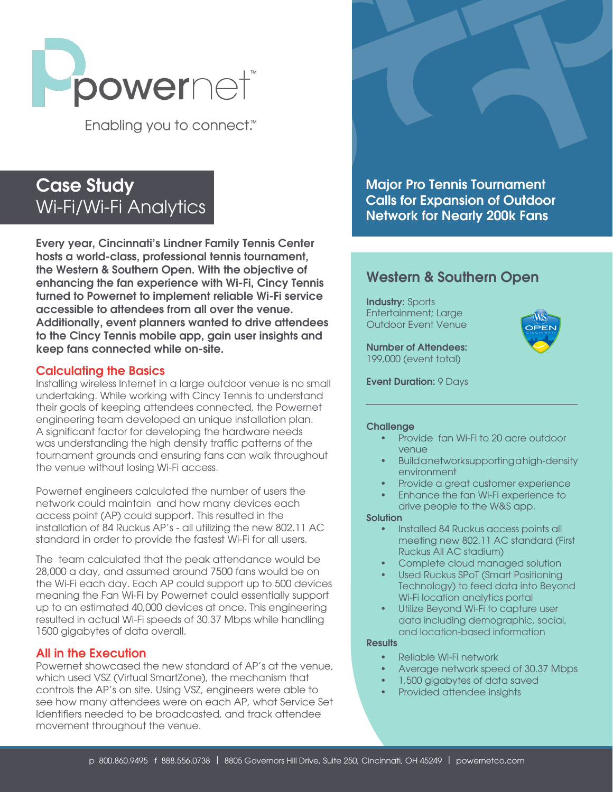

Enabling you to connect.<sup>™</sup>

# Case Study Wi-Fi/Wi-Fi Analytics

Every year, Cincinnati's Lindner Family Tennis Center hosts a world-class, professional tennis tournament, the Western & Southern Open. With the objective of enhancing the fan experience with Wi-Fi, Cincy Tennis turned to Powernet to implement reliable Wi-Fi service accessible to attendees from all over the venue. Additionally, event planners wanted to drive attendees to the Cincy Tennis mobile app, gain user insights and keep fans connected while on-site.

### Calculating the Basics

Installing wireless Internet in a large outdoor venue is no small undertaking. While working with Cincy Tennis to understand their goals of keeping attendees connected, the Powernet engineering team developed an unique installation plan. A significant factor for developing the hardware needs was understanding the high density traffic patterns of the tournament grounds and ensuring fans can walk throughout the venue without losing Wi-Fi access.

Powernet engineers calculated the number of users the network could maintain and how many devices each access point (AP) could support. This resulted in the installation of 84 Ruckus AP's - all utilizing the new 802.11 AC standard in order to provide the fastest Wi-Fi for all users.

The team calculated that the peak attendance would be 28,000 a day, and assumed around 7500 fans would be on the Wi-Fi each day. Each AP could support up to 500 devices meaning the Fan Wi-Fi by Powernet could essentially support up to an estimated 40,000 devices at once. This engineering resulted in actual Wi-Fi speeds of 30.37 Mbps while handling 1500 gigabytes of data overall.

## All in the Execution

Powernet showcased the new standard of AP's at the venue, which used VSZ (Virtual SmartZone), the mechanism that controls the AP's on site. Using VSZ, engineers were able to see how many attendees were on each AP, what Service Set Identifiers needed to be broadcasted, and track attendee movement throughout the venue.

Major Pro Tennis Tournament Calls for Expansion of Outdoor Network for Nearly 200k Fans

# Western & Southern Open

Industry: Sports Entertainment; Large Outdoor Event Venue

Number of Attendees: 199,000 (event total)



Event Duration: 9 Days

#### **Challenge**

- Provide fan Wi-Fi to 20 acre outdoor venue
- Build a network supporting a high-density environment
- Provide a great customer experience
- Enhance the fan Wi-Fi experience to drive people to the W&S app.

#### **Solution**

- Installed 84 Ruckus access points all meeting new 802.11 AC standard (First Ruckus All AC stadium)
- Complete cloud managed solution
- Used Ruckus SPoT (Smart Positioning Technology) to feed data into Beyond Wi-Fi location analytics portal
- Utilize Beyond Wi-Fi to capture user data including demographic, social, and location-based information

#### **Results**

- Reliable Wi-Fi network
- Average network speed of 30.37 Mbps
- 1,500 gigabytes of data saved
- Provided attendee insights